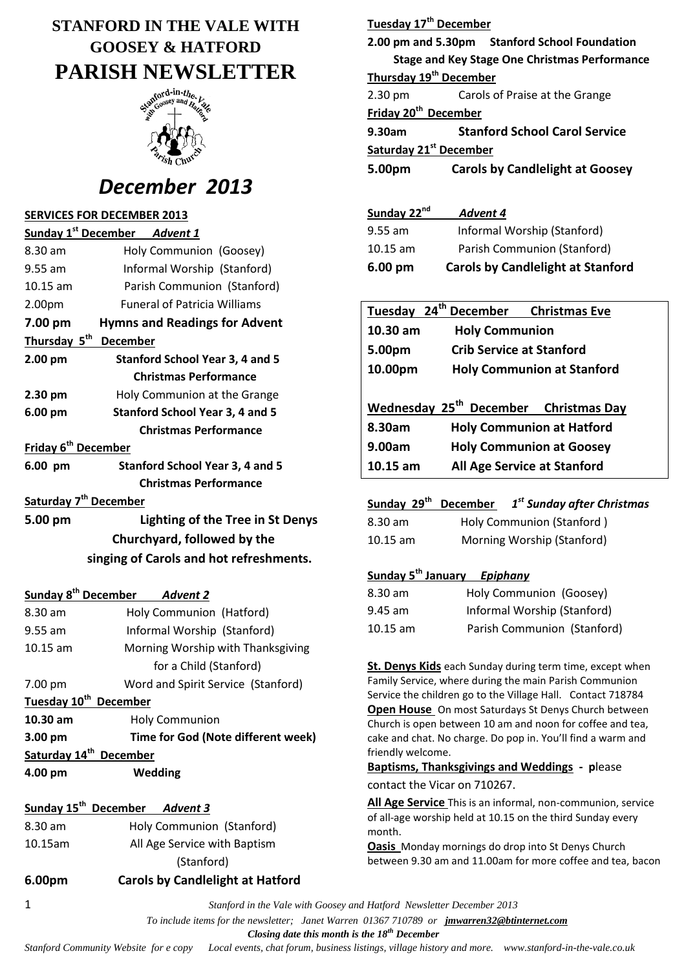# **STANFORD IN THE VALE WITH GOOSEY & HATFORD PARISH NEWSLETTER**



# *December 2013*

### **SERVICES FOR DECEMBER 2013**

| Sunday 1 <sup>st</sup> December | <b>Advent 1</b>                        |  |
|---------------------------------|----------------------------------------|--|
| 8.30 am                         | Holy Communion (Goosey)                |  |
| $9.55$ am                       | Informal Worship (Stanford)            |  |
| 10.15 am                        | Parish Communion (Stanford)            |  |
| 2.00pm                          | <b>Funeral of Patricia Williams</b>    |  |
| 7.00 pm                         | <b>Hymns and Readings for Advent</b>   |  |
| Thursday 5 <sup>th</sup>        | <b>December</b>                        |  |
| 2.00 pm                         | <b>Stanford School Year 3, 4 and 5</b> |  |
|                                 | <b>Christmas Performance</b>           |  |
| $2.30 \text{ pm}$               | Holy Communion at the Grange           |  |
| 6.00 pm                         | <b>Stanford School Year 3, 4 and 5</b> |  |
|                                 | <b>Christmas Performance</b>           |  |
| Friday 6 <sup>th</sup> December |                                        |  |
| 6.00 pm                         | Stanford School Year 3, 4 and 5        |  |

 **Christmas Performance**

### **Saturday 7 th December**

| 5.00 pm | Lighting of the Tree in St Denys        |
|---------|-----------------------------------------|
|         | Churchyard, followed by the             |
|         | singing of Carols and hot refreshments. |

### **Sunday 8th December** *Advent 2*

| $8.30 \text{ am}$                  | Holy Communion (Hatford)                  |  |
|------------------------------------|-------------------------------------------|--|
| $9.55$ am                          | Informal Worship (Stanford)               |  |
| $10.15$ am                         | Morning Worship with Thanksgiving         |  |
|                                    | for a Child (Stanford)                    |  |
| 7.00 pm                            | Word and Spirit Service (Stanford)        |  |
| Tuesday 10 <sup>th</sup> December  |                                           |  |
| $10.30$ am                         | <b>Holy Communion</b>                     |  |
| 3.00 pm                            | <b>Time for God (Note different week)</b> |  |
| Saturday 14 <sup>th</sup> December |                                           |  |
| 4.00 pm                            | Wedding                                   |  |

# **Sunday 15th December** *Advent 3* 8.30 am Holy Communion (Stanford) 10.15am All Age Service with Baptism (Stanford)

| 6.00pm | <b>Carols by Candlelight at Hatford</b> |
|--------|-----------------------------------------|
|        |                                         |

| Tuesday 17 <sup>th</sup> December  |                                                      |
|------------------------------------|------------------------------------------------------|
|                                    | 2.00 pm and 5.30pm Stanford School Foundation        |
|                                    | <b>Stage and Key Stage One Christmas Performance</b> |
| Thursday 19 <sup>th</sup> December |                                                      |
| $2.30 \text{ pm}$                  | Carols of Praise at the Grange                       |
| Friday 20 <sup>th</sup> December   |                                                      |
| 9.30am                             | <b>Stanford School Carol Service</b>                 |
| Saturday 21 <sup>st</sup> December |                                                      |
| 5.00pm                             | <b>Carols by Candlelight at Goosey</b>               |

| Sunday 22nd       | Advent 4                                 |
|-------------------|------------------------------------------|
| $9.55$ am         | Informal Worship (Stanford)              |
| $10.15$ am        | Parish Communion (Stanford)              |
| $6.00 \text{ pm}$ | <b>Carols by Candlelight at Stanford</b> |

|            | Tuesday 24 <sup>th</sup> December Christmas Eve   |  |
|------------|---------------------------------------------------|--|
| $10.30$ am | <b>Holy Communion</b>                             |  |
| 5.00pm     | <b>Crib Service at Stanford</b>                   |  |
| 10.00pm    | <b>Holy Communion at Stanford</b>                 |  |
|            | Wednesday 25 <sup>th</sup> December Christmas Day |  |
|            |                                                   |  |
| 8.30am     | <b>Holy Communion at Hatford</b>                  |  |
| 9.00am     | <b>Holy Communion at Goosey</b>                   |  |
| $10.15$ am | All Age Service at Stanford                       |  |

**Sunday 29th December** *1 st Sunday after Christmas*

| 8.30 am            | Holy Communion (Stanford)  |
|--------------------|----------------------------|
| $10.15 \text{ am}$ | Morning Worship (Stanford) |

# **Sunday 5th January** *Epiphany*

| 8.30 am    | Holy Communion (Goosey)     |
|------------|-----------------------------|
| $9.45$ am  | Informal Worship (Stanford) |
| $10.15$ am | Parish Communion (Stanford) |

**St. Denys Kids** each Sunday during term time, except when Family Service, where during the main Parish Communion Service the children go to the Village Hall. Contact 718784 **Open House** On most Saturdays St Denys Church between Church is open between 10 am and noon for coffee and tea, cake and chat. No charge. Do pop in. You'll find a warm and friendly welcome.

**Baptisms, Thanksgivings and Weddings - p**lease contact the Vicar on 710267.

**All Age Service** This is an informal, non-communion, service of all-age worship held at 10.15 on the third Sunday every month.

**Oasis** Monday mornings do drop into St Denys Church between 9.30 am and 11.00am for more coffee and tea, bacon

1 *Stanford in the Vale with Goosey and Hatford Newsletter December 2013*

 *To include items for the newsletter; Janet Warren 01367 710789 or jmwarren32@btinternet.com*

 *Closing date this month is the 18th December*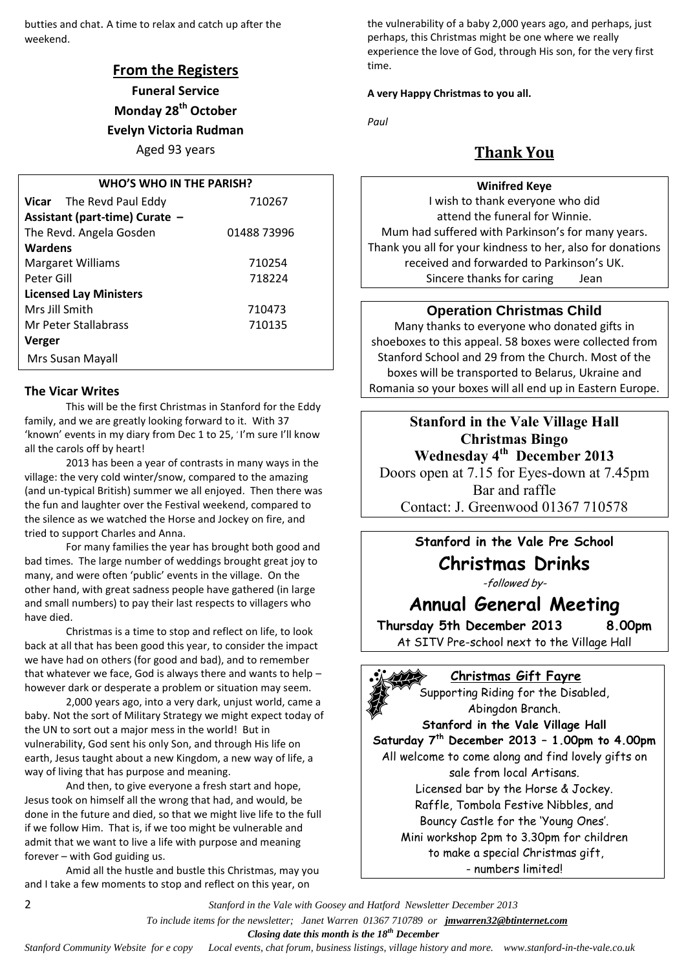butties and chat. A time to relax and catch up after the weekend.

# **From the Registers**

**Funeral Service Monday 28th October Evelyn Victoria Rudman**

# Aged 93 years

| <b>WHO'S WHO IN THE PARISH?</b> |             |  |  |
|---------------------------------|-------------|--|--|
| <b>Vicar</b> The Revd Paul Eddy | 710267      |  |  |
| Assistant (part-time) Curate -  |             |  |  |
| The Revd. Angela Gosden         | 01488 73996 |  |  |
| Wardens                         |             |  |  |
| <b>Margaret Williams</b>        | 710254      |  |  |
| Peter Gill                      | 718224      |  |  |
| <b>Licensed Lay Ministers</b>   |             |  |  |
| Mrs Jill Smith                  | 710473      |  |  |
| Mr Peter Stallabrass            | 710135      |  |  |
| Verger                          |             |  |  |
| Mrs Susan Mayall                |             |  |  |

#### **The Vicar Writes**

This will be the first Christmas in Stanford for the Eddy family, and we are greatly looking forward to it. With 37 'known' events in my diary from Dec 1 to 25, 'I'm sure I'll know all the carols off by heart!

2013 has been a year of contrasts in many ways in the village: the very cold winter/snow, compared to the amazing (and un-typical British) summer we all enjoyed. Then there was the fun and laughter over the Festival weekend, compared to the silence as we watched the Horse and Jockey on fire, and tried to support Charles and Anna.

For many families the year has brought both good and bad times. The large number of weddings brought great joy to many, and were often 'public' events in the village. On the other hand, with great sadness people have gathered (in large and small numbers) to pay their last respects to villagers who have died.

Christmas is a time to stop and reflect on life, to look back at all that has been good this year, to consider the impact we have had on others (for good and bad), and to remember that whatever we face, God is always there and wants to help – however dark or desperate a problem or situation may seem.

2,000 years ago, into a very dark, unjust world, came a baby. Not the sort of Military Strategy we might expect today of the UN to sort out a major mess in the world! But in vulnerability, God sent his only Son, and through His life on earth, Jesus taught about a new Kingdom, a new way of life, a way of living that has purpose and meaning.

And then, to give everyone a fresh start and hope, Jesus took on himself all the wrong that had, and would, be done in the future and died, so that we might live life to the full if we follow Him. That is, if we too might be vulnerable and admit that we want to live a life with purpose and meaning forever – with God guiding us.

Amid all the hustle and bustle this Christmas, may you and I take a few moments to stop and reflect on this year, on

the vulnerability of a baby 2,000 years ago, and perhaps, just perhaps, this Christmas might be one where we really experience the love of God, through His son, for the very first time.

#### **A very Happy Christmas to you all.**

*Paul*

# **Thank You**

### **Winifred Keye**

I wish to thank everyone who did attend the funeral for Winnie. Mum had suffered with Parkinson's for many years. Thank you all for your kindness to her, also for donations received and forwarded to Parkinson's UK. Sincere thanks for caring Jean

### **Operation Christmas Child**

Many thanks to everyone who donated gifts in shoeboxes to this appeal. 58 boxes were collected from Stanford School and 29 from the Church. Most of the boxes will be transported to Belarus, Ukraine and Romania so your boxes will all end up in Eastern Europe.

**Stanford in the Vale Village Hall Christmas Bingo Wednesday 4th December 2013** Doors open at 7.15 for Eyes-down at 7.45pm

Bar and raffle Contact: J. Greenwood 01367 710578

# **Stanford in the Vale Pre School**

# **Christmas Drinks**

-followed by-

# **Annual General Meeting**

**Thursday 5th December 2013 8.00pm** At SITV Pre-school next to the Village Hall

### **Christmas Gift Fayre**

Supporting Riding for the Disabled, Abingdon Branch.

**Stanford in the Vale Village Hall Saturday 7th December 2013 – 1.00pm to 4.00pm** All welcome to come along and find lovely gifts on sale from local Artisans. Licensed bar by the Horse & Jockey. Raffle, Tombola Festive Nibbles, and Bouncy Castle for the 'Young Ones'. Mini workshop 2pm to 3.30pm for children to make a special Christmas gift, - numbers limited!

2 *Stanford in the Vale with Goosey and Hatford Newsletter December 2013*

 *To include items for the newsletter; Janet Warren 01367 710789 or jmwarren32@btinternet.com*

 *Closing date this month is the 18th December*

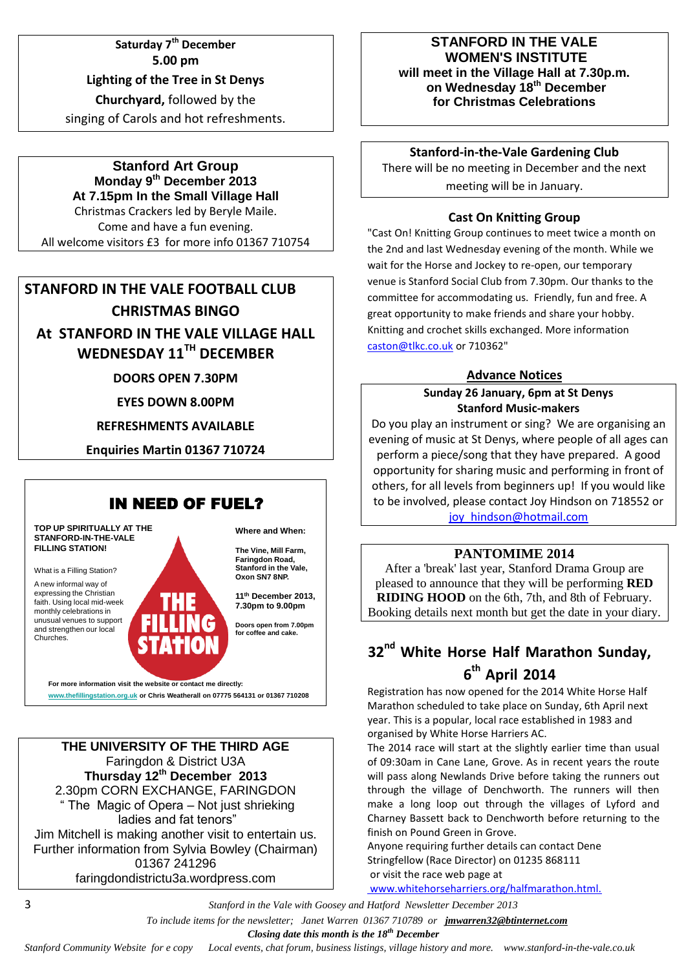**Saturday 7th December 5.00 pm Lighting of the Tree in St Denys Churchyard,** followed by the singing of Carols and hot refreshments.

**Stanford Art Group Monday 9 th December 2013 At 7.15pm In the Small Village Hall** Christmas Crackers led by Beryle Maile.

Come and have a fun evening. All welcome visitors £3 for more info 01367 710754

# **STANFORD IN THE VALE FOOTBALL CLUB CHRISTMAS BINGO At STANFORD IN THE VALE VILLAGE HALL**

**WEDNESDAY 11TH DECEMBER**

**DOORS OPEN 7.30PM**

**EYES DOWN 8.00PM**

**REFRESHMENTS AVAILABLE**

**Enquiries Martin 01367 710724**



**For more information visit the website or contact me directly: www.thefillingstation.org.uk or Chris Weatherall on 07775 564131 or 01367 710208** 

### **THE UNIVERSITY OF THE THIRD AGE** Faringdon & District U3A **Thursday 12th December 2013** 2.30pm CORN EXCHANGE, FARINGDON " The Magic of Opera – Not just shrieking ladies and fat tenors" Jim Mitchell is making another visit to entertain us. Further information from Sylvia Bowley (Chairman) 01367 241296

faringdondistrictu3a.wordpress.com

### **STANFORD IN THE VALE WOMEN'S INSTITUTE will meet in the Village Hall at 7.30p.m. on Wednesday 18th December for Christmas Celebrations**

## **Stanford-in-the-Vale Gardening Club**

There will be no meeting in December and the next meeting will be in January.

# **Cast On Knitting Group**

"Cast On! Knitting Group continues to meet twice a month on the 2nd and last Wednesday evening of the month. While we wait for the Horse and Jockey to re-open, our temporary venue is Stanford Social Club from 7.30pm. Our thanks to the committee for accommodating us. Friendly, fun and free. A great opportunity to make friends and share your hobby. Knitting and crochet skills exchanged. More information [caston@tlkc.co.uk](mailto:caston@tlkc.co.uk) or 710362"

# **Advance Notices**

## **Sunday 26 January, 6pm at St Denys Stanford Music-makers**

Do you play an instrument or sing? We are organising an evening of music at St Denys, where people of all ages can perform a piece/song that they have prepared. A good opportunity for sharing music and performing in front of others, for all levels from beginners up! If you would like to be involved, please contact Joy Hindson on 718552 or [joy\\_hindson@hotmail.com](mailto:joy_hindson@hotmail.com)

# **PANTOMIME 2014**

After a 'break' last year, Stanford Drama Group are pleased to announce that they will be performing **RED RIDING HOOD** on the 6th, 7th, and 8th of February. Booking details next month but get the date in your diary.

# **32nd White Horse Half Marathon Sunday, 6 th April 2014**

Registration has now opened for the 2014 White Horse Half Marathon scheduled to take place on Sunday, 6th April next year. This is a popular, local race established in 1983 and organised by White Horse Harriers AC.

The 2014 race will start at the slightly earlier time than usual of 09:30am in Cane Lane, Grove. As in recent years the route will pass along Newlands Drive before taking the runners out through the village of Denchworth. The runners will then make a long loop out through the villages of Lyford and Charney Bassett back to Denchworth before returning to the finish on Pound Green in Grove.

Anyone requiring further details can contact Dene Stringfellow (Race Director) on 01235 868111 or visit the race web page at

www.whitehorseharriers.org/halfmarathon.html.

3 *Stanford in the Vale with Goosey and Hatford Newsletter December 2013*

 *To include items for the newsletter; Janet Warren 01367 710789 or jmwarren32@btinternet.com*

 *Closing date this month is the 18th December*